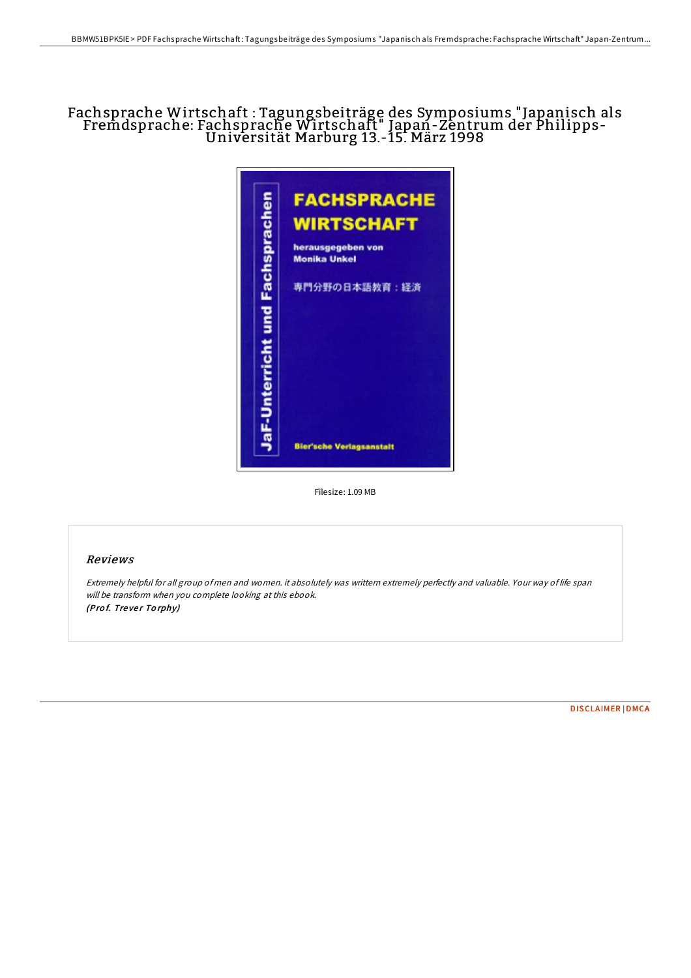# Fachsprache Wirtschaft : Tagungsbeiträge des Symposiums "Japanisch als Fremdsprache: Fachsprache Wirtschaft" Japan-Zentrum der Philipps- Universität Marburg 13.-15. März <sup>1998</sup>



Filesize: 1.09 MB

#### Reviews

Extremely helpful for all group of men and women. it absolutely was writtern extremely perfectly and valuable. Your way of life span will be transform when you complete looking at this ebook. (Prof. Trever Torphy)

[DISCLAIMER](http://almighty24.tech/disclaimer.html) | [DMCA](http://almighty24.tech/dmca.html)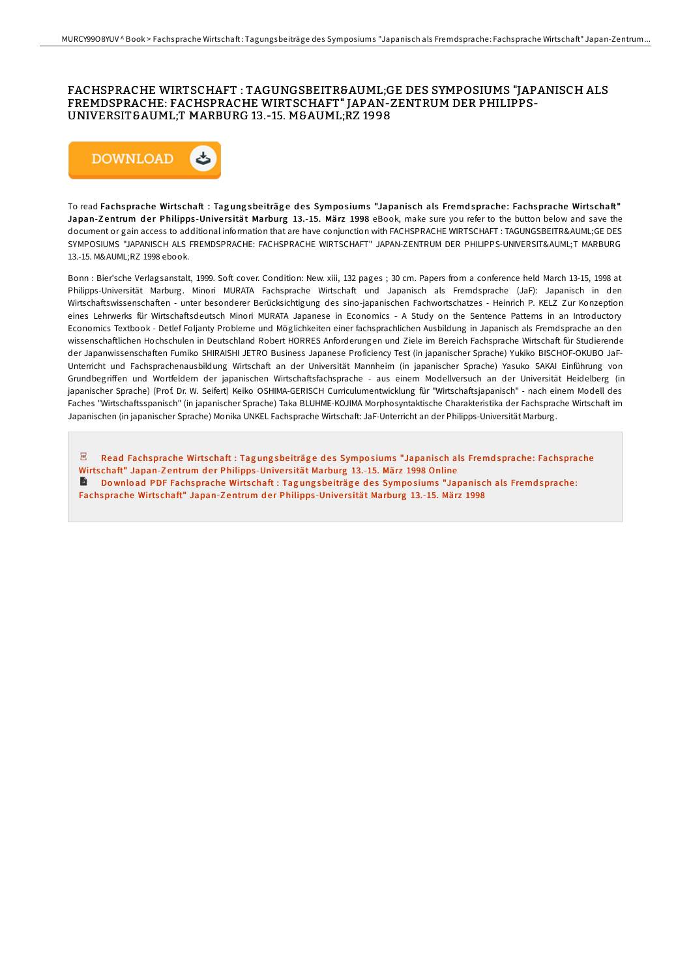### FACHSPRACHE WIRTSCHAFT : TAGUNGSBEITRÄGE DES SYMPOSIUMS "JAPANISCH ALS FREMDSPRACHE: FACHSPRACHE WIRTSCHAFT" JAPAN-ZENTRUM DER PHILIPPS-UNIVERSITÄT MARBURG 13.-15. MÄRZ 1998



To read Fachsprache Wirtschaft : Tagungsbeiträge des Symposiums "Japanisch als Fremdsprache: Fachsprache Wirtschaft" Japan-Zentrum der Philipps-Universität Marburg 13.-15. März 1998 eBook, make sure you refer to the button below and save the document or gain access to additional information that are have conjunction with FACHSPRACHE WIRTSCHAFT : TAGUNGSBEITRÄGE DES SYMPOSIUMS "JAPANISCH ALS FREMDSPRACHE: FACHSPRACHE WIRTSCHAFT" JAPAN-ZENTRUM DER PHILIPPS-UNIVERSITÄT MARBURG 13.-15. MÄRZ 1998 ebook.

Bonn : Bier'sche Verlagsanstalt, 1999. Soft cover. Condition: New. xiii, 132 pages ; 30 cm. Papers from a conference held March 13-15, 1998 at Philipps-Universität Marburg. Minori MURATA Fachsprache Wirtschaft und Japanisch als Fremdsprache (JaF): Japanisch in den Wirtschaftswissenschaften - unter besonderer Berücksichtigung des sino-japanischen Fachwortschatzes - Heinrich P. KELZ Zur Konzeption eines Lehrwerks für Wirtschaftsdeutsch Minori MURATA Japanese in Economics - A Study on the Sentence Patterns in an Introductory Economics Textbook - Detlef Foljanty Probleme und Möglichkeiten einer fachsprachlichen Ausbildung in Japanisch als Fremdsprache an den wissenschaftlichen Hochschulen in Deutschland Robert HORRES Anforderungen und Ziele im Bereich Fachsprache Wirtschaft für Studierende der Japanwissenschaften Fumiko SHIRAISHI JETRO Business Japanese Proficiency Test (in japanischer Sprache) Yukiko BISCHOF-OKUBO JaF-Unterricht und Fachsprachenausbildung Wirtschaft an der Universität Mannheim (in japanischer Sprache) Yasuko SAKAI Einführung von Grundbegriffen und Wortfeldern der japanischen Wirtschaftsfachsprache - aus einem Modellversuch an der Universität Heidelberg (in japanischer Sprache) (Prof. Dr. W. Seifert) Keiko OSHIMA-GERISCH Curriculumentwicklung für "Wirtschaftsjapanisch" - nach einem Modell des Faches "Wirtschaftsspanisch" (in japanischer Sprache) Taka BLUHME-KOJIMA Morphosyntaktische Charakteristika der Fachsprache Wirtschaft im Japanischen (in japanischer Sprache) Monika UNKEL Fachsprache Wirtschaft: JaF-Unterricht an der Philipps-Universität Marburg.

 $\overline{\mathsf{pop}}$ Read [Fachsprache](http://almighty24.tech/fachsprache-wirtschaft-tagungsbeitr-auml-ge-des-.html) Wirtschaft : Tagung sbeiträge des Symposiums "Japanisch als Fremdsprache: Fachsprache Wirtschaft" Japan-Zentrum der Philipps-Universität Marburg 13.-15. März 1998 Online

Download PDF [Fachsprache](http://almighty24.tech/fachsprache-wirtschaft-tagungsbeitr-auml-ge-des-.html) Wirtschaft : Tagung sbeiträge des Symposiums "Japanisch als Fremdsprache: Fachsprache Wirtschaft" Japan-Zentrum der Philipps-Universität Marburg 13.-15. März 1998